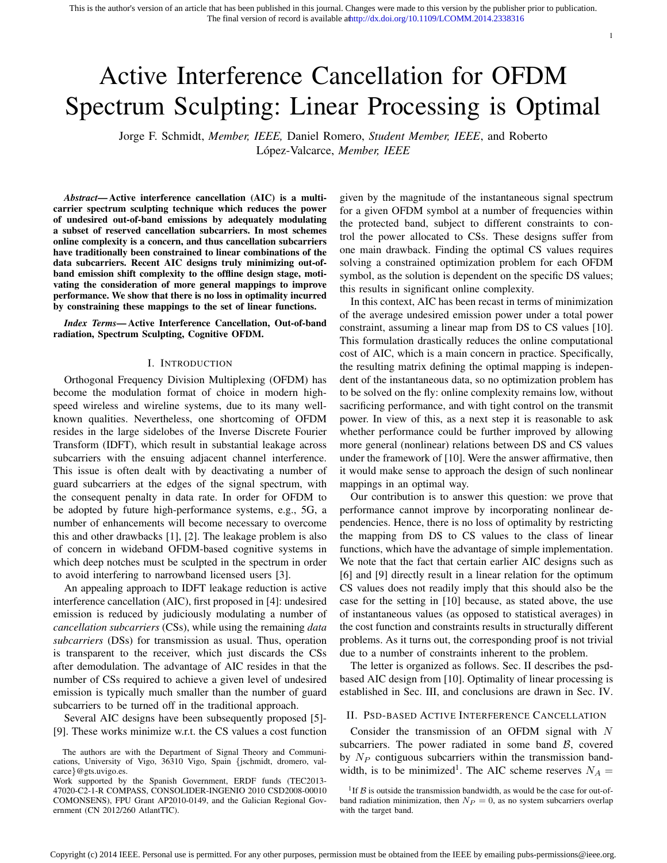# Active Interference Cancellation for OFDM Spectrum Sculpting: Linear Processing is Optimal

Jorge F. Schmidt, *Member, IEEE,* Daniel Romero, *Student Member, IEEE*, and Roberto López-Valcarce, Member, IEEE

*Abstract*— Active interference cancellation (AIC) is a multicarrier spectrum sculpting technique which reduces the power of undesired out-of-band emissions by adequately modulating a subset of reserved cancellation subcarriers. In most schemes online complexity is a concern, and thus cancellation subcarriers have traditionally been constrained to linear combinations of the data subcarriers. Recent AIC designs truly minimizing out-ofband emission shift complexity to the offline design stage, motivating the consideration of more general mappings to improve performance. We show that there is no loss in optimality incurred by constraining these mappings to the set of linear functions.

*Index Terms*— Active Interference Cancellation, Out-of-band radiation, Spectrum Sculpting, Cognitive OFDM.

#### I. INTRODUCTION

Orthogonal Frequency Division Multiplexing (OFDM) has become the modulation format of choice in modern highspeed wireless and wireline systems, due to its many wellknown qualities. Nevertheless, one shortcoming of OFDM resides in the large sidelobes of the Inverse Discrete Fourier Transform (IDFT), which result in substantial leakage across subcarriers with the ensuing adjacent channel interference. This issue is often dealt with by deactivating a number of guard subcarriers at the edges of the signal spectrum, with the consequent penalty in data rate. In order for OFDM to be adopted by future high-performance systems, e.g., 5G, a number of enhancements will become necessary to overcome this and other drawbacks [1], [2]. The leakage problem is also of concern in wideband OFDM-based cognitive systems in which deep notches must be sculpted in the spectrum in order to avoid interfering to narrowband licensed users [3].

An appealing approach to IDFT leakage reduction is active interference cancellation (AIC), first proposed in [4]: undesired emission is reduced by judiciously modulating a number of *cancellation subcarriers* (CSs), while using the remaining *data subcarriers* (DSs) for transmission as usual. Thus, operation is transparent to the receiver, which just discards the CSs after demodulation. The advantage of AIC resides in that the number of CSs required to achieve a given level of undesired emission is typically much smaller than the number of guard subcarriers to be turned off in the traditional approach.

Several AIC designs have been subsequently proposed [5]- [9]. These works minimize w.r.t. the CS values a cost function given by the magnitude of the instantaneous signal spectrum for a given OFDM symbol at a number of frequencies within the protected band, subject to different constraints to control the power allocated to CSs. These designs suffer from one main drawback. Finding the optimal CS values requires solving a constrained optimization problem for each OFDM symbol, as the solution is dependent on the specific DS values; this results in significant online complexity.

1

In this context, AIC has been recast in terms of minimization of the average undesired emission power under a total power constraint, assuming a linear map from DS to CS values [10]. This formulation drastically reduces the online computational cost of AIC, which is a main concern in practice. Specifically, the resulting matrix defining the optimal mapping is independent of the instantaneous data, so no optimization problem has to be solved on the fly: online complexity remains low, without sacrificing performance, and with tight control on the transmit power. In view of this, as a next step it is reasonable to ask whether performance could be further improved by allowing more general (nonlinear) relations between DS and CS values under the framework of [10]. Were the answer affirmative, then it would make sense to approach the design of such nonlinear mappings in an optimal way.

Our contribution is to answer this question: we prove that performance cannot improve by incorporating nonlinear dependencies. Hence, there is no loss of optimality by restricting the mapping from DS to CS values to the class of linear functions, which have the advantage of simple implementation. We note that the fact that certain earlier AIC designs such as [6] and [9] directly result in a linear relation for the optimum CS values does not readily imply that this should also be the case for the setting in [10] because, as stated above, the use of instantaneous values (as opposed to statistical averages) in the cost function and constraints results in structurally different problems. As it turns out, the corresponding proof is not trivial due to a number of constraints inherent to the problem.

The letter is organized as follows. Sec. II describes the psdbased AIC design from [10]. Optimality of linear processing is established in Sec. III, and conclusions are drawn in Sec. IV.

#### II. PSD-BASED ACTIVE INTERFERENCE CANCELLATION

Consider the transmission of an OFDM signal with  $N$ subcarriers. The power radiated in some band  $\beta$ , covered by  $N_P$  contiguous subcarriers within the transmission bandwidth, is to be minimized<sup>1</sup>. The AIC scheme reserves  $N_A =$ 

The authors are with the Department of Signal Theory and Communications, University of Vigo, 36310 Vigo, Spain {jschmidt, dromero, valcarce}@gts.uvigo.es.

Work supported by the Spanish Government, ERDF funds (TEC2013- 47020-C2-1-R COMPASS, CONSOLIDER-INGENIO 2010 CSD2008-00010 COMONSENS), FPU Grant AP2010-0149, and the Galician Regional Government (CN 2012/260 AtlantTIC).

<sup>&</sup>lt;sup>1</sup>If  $\beta$  is outside the transmission bandwidth, as would be the case for out-ofband radiation minimization, then  $N_P = 0$ , as no system subcarriers overlap with the target band.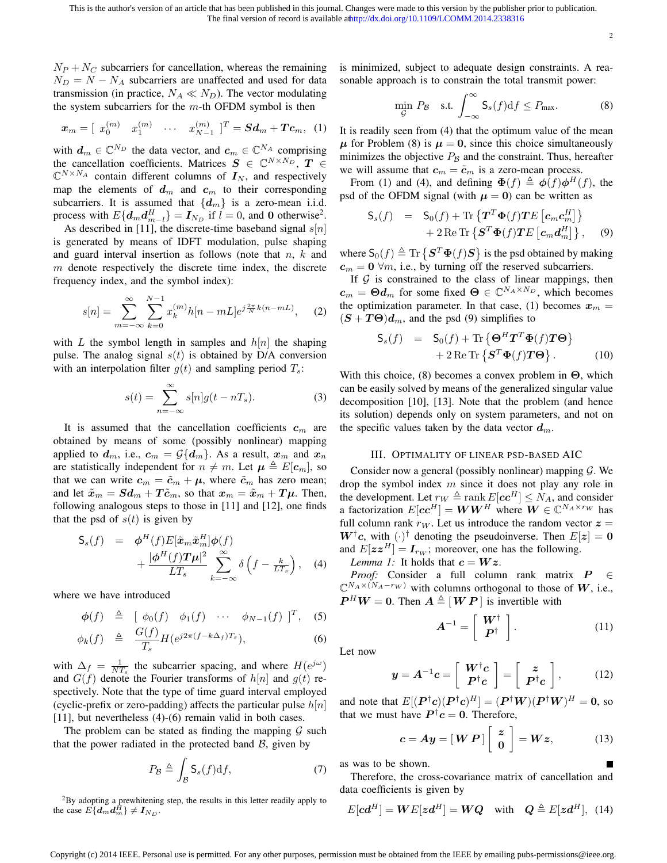2

 $N_P + N_C$  subcarriers for cancellation, whereas the remaining  $N_D = N - N_A$  subcarriers are unaffected and used for data transmission (in practice,  $N_A \ll N_D$ ). The vector modulating the system subcarriers for the  $m$ -th OFDM symbol is then

$$
\boldsymbol{x}_{m} = [x_{0}^{(m)} \quad x_{1}^{(m)} \quad \cdots \quad x_{N-1}^{(m)} \quad ]^{T} = \boldsymbol{S} \boldsymbol{d}_{m} + \boldsymbol{T} \boldsymbol{c}_{m}, \quad (1)
$$

with  $d_m \in \mathbb{C}^{N_D}$  the data vector, and  $c_m \in \mathbb{C}^{N_A}$  comprising the cancellation coefficients. Matrices  $S \in \mathbb{C}^{N \times N_D}$ ,  $T \in$  $\mathbb{C}^{N \times N_A}$  contain different columns of  $I_N$ , and respectively map the elements of  $d_m$  and  $c_m$  to their corresponding subcarriers. It is assumed that  $\{d_m\}$  is a zero-mean i.i.d. process with  $E\{d_m d_{m-l}^H\} = I_{N_D}$  if  $l = 0$ , and 0 otherwise<sup>2</sup>.

As described in [11], the discrete-time baseband signal  $s[n]$ is generated by means of IDFT modulation, pulse shaping and guard interval insertion as follows (note that  $n, k$  and  $m$  denote respectively the discrete time index, the discrete frequency index, and the symbol index):

$$
s[n] = \sum_{m=-\infty}^{\infty} \sum_{k=0}^{N-1} x_k^{(m)} h[n - mL] e^{j\frac{2\pi}{N}k(n - mL)}, \quad (2)
$$

with L the symbol length in samples and  $h[n]$  the shaping pulse. The analog signal  $s(t)$  is obtained by D/A conversion with an interpolation filter  $g(t)$  and sampling period  $T_s$ :

$$
s(t) = \sum_{n = -\infty}^{\infty} s[n]g(t - nT_s).
$$
 (3)

It is assumed that the cancellation coefficients  $c_m$  are obtained by means of some (possibly nonlinear) mapping applied to  $d_m$ , i.e.,  $c_m = \mathcal{G}\{d_m\}$ . As a result,  $x_m$  and  $x_n$ are statistically independent for  $n \neq m$ . Let  $\mu \triangleq E[c_m]$ , so that we can write  $c_m = \tilde{c}_m + \mu$ , where  $\tilde{c}_m$  has zero mean; and let  $\tilde{x}_m = S d_m + T \tilde{c}_m$ , so that  $x_m = \tilde{x}_m + T \mu$ . Then, following analogous steps to those in [11] and [12], one finds that the psd of  $s(t)$  is given by

$$
\begin{array}{rcl}\n\mathsf{S}_{s}(f) & = & \boldsymbol{\phi}^{H}(f)E[\tilde{\boldsymbol{x}}_{m}\tilde{\boldsymbol{x}}_{m}^{H}]\boldsymbol{\phi}(f) \\
& + \frac{|\boldsymbol{\phi}^{H}(f)\boldsymbol{T}\boldsymbol{\mu}|^{2}}{LT_{s}} \sum_{k=-\infty}^{\infty} \delta\left(f - \frac{k}{LT_{s}}\right), \quad (4)\n\end{array}
$$

where we have introduced

$$
\phi(f) \triangleq \left[ \begin{array}{cccc} \phi_0(f) & \phi_1(f) & \cdots & \phi_{N-1}(f) \end{array} \right]^T, \quad (5)
$$

$$
\phi_k(f) \triangleq \frac{G(f)}{T_s} H(e^{j2\pi (f - k\Delta_f)T_s}), \tag{6}
$$

with  $\Delta_f = \frac{1}{NT_s}$  the subcarrier spacing, and where  $H(e^{j\omega})$ and  $G(f)$  denote the Fourier transforms of  $h[n]$  and  $g(t)$  respectively. Note that the type of time guard interval employed (cyclic-prefix or zero-padding) affects the particular pulse  $h[n]$ [11], but nevertheless (4)-(6) remain valid in both cases.

The problem can be stated as finding the mapping  $G$  such that the power radiated in the protected band  $\beta$ , given by

$$
P_{\mathcal{B}} \triangleq \int_{\mathcal{B}} \mathsf{S}_s(f) \mathrm{d}f,\tag{7}
$$

 ${}^{2}$ By adopting a prewhitening step, the results in this letter readily apply to the case  $E\{\boldsymbol{d}_m \boldsymbol{d}_m^{\hat{H}}\} \neq \boldsymbol{I}_{N_D}$ .

is minimized, subject to adequate design constraints. A reasonable approach is to constrain the total transmit power:

$$
\min_{\mathcal{G}} P_{\mathcal{B}} \quad \text{s.t.} \int_{-\infty}^{\infty} \mathsf{S}_s(f) \mathrm{d}f \le P_{\text{max}}.\tag{8}
$$

It is readily seen from (4) that the optimum value of the mean  $\mu$  for Problem (8) is  $\mu = 0$ , since this choice simultaneously minimizes the objective  $P_B$  and the constraint. Thus, hereafter we will assume that  $c_m = \tilde{c}_m$  is a zero-mean process.

From (1) and (4), and defining  $\mathbf{\Phi}(f) \triangleq \phi(f) \phi^H(f)$ , the psd of the OFDM signal (with  $\mu = 0$ ) can be written as

$$
S_s(f) = S_0(f) + \text{Tr}\left\{T^T\Phi(f)TE\left[c_m c_m^H\right]\right\}
$$
  
+ 2 \text{Re Tr}\left\{S^T\Phi(f)TE\left[c\_m d\_m^H\right]\right\}, (9)

where  $S_0(f) \triangleq \text{Tr} \left\{ \mathbf{S}^T \mathbf{\Phi}(f) \mathbf{S} \right\}$  is the psd obtained by making  $c_m = 0 \forall m$ , i.e., by turning off the reserved subcarriers.

If  $G$  is constrained to the class of linear mappings, then  $c_m = \Theta d_m$  for some fixed  $\Theta \in \mathbb{C}^{N_A \times N_D}$ , which becomes the optimization parameter. In that case, (1) becomes  $x_m =$  $(S+T\Theta)d_m$ , and the psd (9) simplifies to

$$
\mathsf{S}_s(f) = \mathsf{S}_0(f) + \text{Tr}\left\{ \mathbf{\Theta}^H \mathbf{T}^T \mathbf{\Phi}(f) \mathbf{T} \mathbf{\Theta} \right\} \n+ 2 \text{Re} \text{Tr}\left\{ \mathbf{S}^T \mathbf{\Phi}(f) \mathbf{T} \mathbf{\Theta} \right\}.
$$
\n(10)

With this choice, (8) becomes a convex problem in  $\Theta$ , which can be easily solved by means of the generalized singular value decomposition [10], [13]. Note that the problem (and hence its solution) depends only on system parameters, and not on the specific values taken by the data vector  $d_m$ .

# III. OPTIMALITY OF LINEAR PSD-BASED AIC

Consider now a general (possibly nonlinear) mapping  $G$ . We drop the symbol index  $m$  since it does not play any role in the development. Let  $r_W \triangleq \text{rank } E[cc^H] \leq N_A$ , and consider a factorization  $E[cc^H] = WW^H$  where  $W \in \mathbb{C}^{N_A \times r_W}$  has full column rank  $r_W$ . Let us introduce the random vector  $z =$  $W^{\dagger}c$ , with  $(\cdot)^{\dagger}$  denoting the pseudoinverse. Then  $E[z] = 0$ and  $E[zz^H] = I_{rw}$ ; moreover, one has the following.

*Lemma 1:* It holds that  $c = Wz$ .

*Proof:* Consider a full column rank matrix P ∈  $\mathbb{C}^{N_A \times (N_A - r_W)}$  with columns orthogonal to those of  $W$ , i.e.,  $P^{H}W = 0$ . Then  $A \triangleq [WP]$  is invertible with

$$
\boldsymbol{A}^{-1} = \left[ \begin{array}{c} \boldsymbol{W}^{\dagger} \\ \boldsymbol{P}^{\dagger} \end{array} \right]. \tag{11}
$$

Let now

$$
\mathbf{y} = \mathbf{A}^{-1} \mathbf{c} = \left[ \begin{array}{c} \mathbf{W}^{\dagger} \mathbf{c} \\ \mathbf{P}^{\dagger} \mathbf{c} \end{array} \right] = \left[ \begin{array}{c} \mathbf{z} \\ \mathbf{P}^{\dagger} \mathbf{c} \end{array} \right],\tag{12}
$$

and note that  $E[(\boldsymbol{P}^{\dagger} \boldsymbol{c})(\boldsymbol{P}^{\dagger} \boldsymbol{c})^H] = (\boldsymbol{P}^{\dagger} \boldsymbol{W})(\boldsymbol{P}^{\dagger} \boldsymbol{W})^H = \boldsymbol{0}$ , so that we must have  $P^{\dagger}c = 0$ . Therefore,

$$
c = Ay = [WP] \left[ \begin{array}{c} z \\ 0 \end{array} \right] = Wz, \tag{13}
$$

as was to be shown.

Therefore, the cross-covariance matrix of cancellation and data coefficients is given by

$$
E[\mathbf{c}\mathbf{d}^H] = \mathbf{W}E[\mathbf{z}\mathbf{d}^H] = \mathbf{W}\mathbf{Q} \quad \text{with} \quad \mathbf{Q} \triangleq E[\mathbf{z}\mathbf{d}^H], \tag{14}
$$

Copyright (c) 2014 IEEE. Personal use is permitted. For any other purposes, permission must be obtained from the IEEE by emailing pubs-permissions@ieee.org.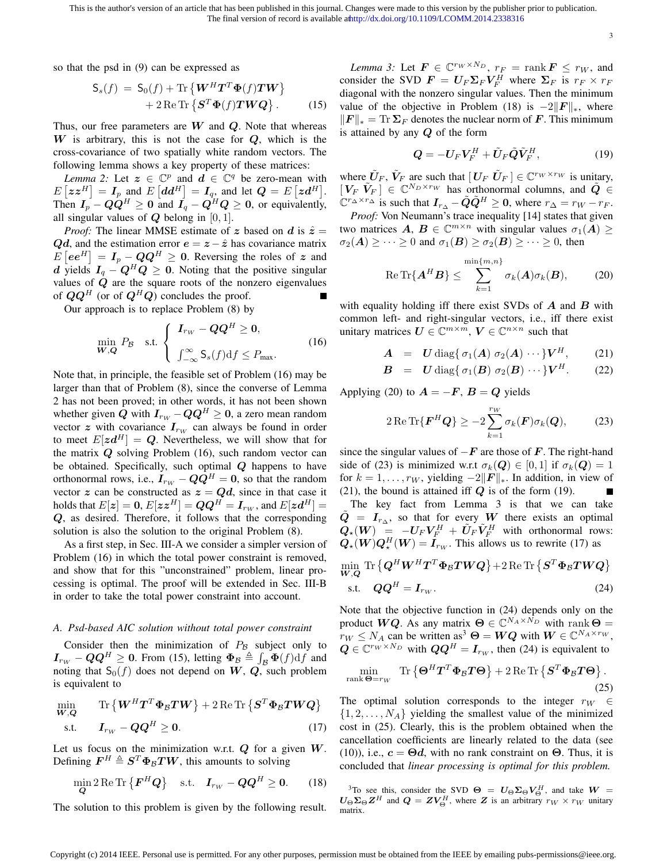3

so that the psd in (9) can be expressed as

$$
S_s(f) = S_0(f) + \text{Tr}\left\{ \boldsymbol{W}^H \boldsymbol{T}^T \boldsymbol{\Phi}(f) \boldsymbol{T} \boldsymbol{W} \right\} + 2 \text{Re} \text{Tr}\left\{ \boldsymbol{S}^T \boldsymbol{\Phi}(f) \boldsymbol{T} \boldsymbol{W} \boldsymbol{Q} \right\}.
$$
 (15)

Thus, our free parameters are  $W$  and  $Q$ . Note that whereas  $W$  is arbitrary, this is not the case for  $Q$ , which is the cross-covariance of two spatially white random vectors. The following lemma shows a key property of these matrices:

*Lemma 2:* Let  $z \in \mathbb{C}^p$  and  $d \in \mathbb{C}^q$  be zero-mean with  $E\left[\boldsymbol{z}\boldsymbol{z}^{H}\right]=\boldsymbol{I}_{p}$  and  $E\left[\boldsymbol{d}\boldsymbol{d}^{H}\right]=\boldsymbol{I}_{q},$  and let  $\boldsymbol{Q}=E\left[\boldsymbol{z}\boldsymbol{d}^{H}\right]$ . Then  $I_p - QQ^H \ge 0$  and  $I_q - Q^HQ \ge 0$ , or equivalently, all singular values of  $Q$  belong in  $[0, 1]$ .

*Proof:* The linear MMSE estimate of z based on d is  $\hat{z} =$ Qd, and the estimation error  $e = z - \hat{z}$  has covariance matrix  $E\left[\bm{e}\bm{e}^H\right] = \bm{I}_p - \bm{Q}\bm{Q}^H \geq \bm{0}$ . Reversing the roles of  $\bm{z}$  and d yields  $I_q - Q^H Q \ge 0$ . Noting that the positive singular values of  $\dot{Q}$  are the square roots of the nonzero eigenvalues of  $QQ^H$  (or of  $Q^HQ$ ) concludes the proof.

Our approach is to replace Problem (8) by

$$
\min_{\mathbf{W},\mathbf{Q}} P_{\mathcal{B}} \quad \text{s.t.} \quad \begin{cases} I_{rw} - \mathbf{Q}\mathbf{Q}^H \ge 0, \\ \int_{-\infty}^{\infty} \mathsf{S}_s(f) \mathrm{d}f \le P_{\text{max}}. \end{cases} \tag{16}
$$

Note that, in principle, the feasible set of Problem (16) may be larger than that of Problem (8), since the converse of Lemma 2 has not been proved; in other words, it has not been shown whether given Q with  $I_{rw} - QQ^H \ge 0$ , a zero mean random vector z with covariance  $I_{rw}$  can always be found in order to meet  $E[\mathbf{z} \mathbf{d}^H] = \mathbf{Q}$ . Nevertheless, we will show that for the matrix  $Q$  solving Problem  $(16)$ , such random vector can be obtained. Specifically, such optimal  $Q$  happens to have orthonormal rows, i.e.,  $I_{rw} - QQ^H = 0$ , so that the random vector z can be constructed as  $z = Qd$ , since in that case it holds that  $E[z] = 0$ ,  $E[zz^H] = QQ^H = I_{rw}$ , and  $E[zd^H] =$ Q, as desired. Therefore, it follows that the corresponding solution is also the solution to the original Problem (8).

As a first step, in Sec. III-A we consider a simpler version of Problem (16) in which the total power constraint is removed, and show that for this "unconstrained" problem, linear processing is optimal. The proof will be extended in Sec. III-B in order to take the total power constraint into account.

### *A. Psd-based AIC solution without total power constraint*

Consider then the minimization of  $P_B$  subject only to  $I_{rw} - QQ^H \ge 0$ . From (15), letting  $\Phi_B \triangleq \int_B \Phi(f) df$  and noting that  $S_0(f)$  does not depend on W, Q, such problem is equivalent to

$$
\min_{\boldsymbol{W},\boldsymbol{Q}} \qquad \text{Tr}\left\{\boldsymbol{W}^H\boldsymbol{T}^T\boldsymbol{\Phi}_\mathcal{B}\boldsymbol{T}\boldsymbol{W}\right\} + 2\operatorname{Re}\text{Tr}\left\{\boldsymbol{S}^T\boldsymbol{\Phi}_\mathcal{B}\boldsymbol{T}\boldsymbol{W}\boldsymbol{Q}\right\}
$$

$$
\text{s.t.} \qquad \boldsymbol{I}_{r_W} - \boldsymbol{Q}\boldsymbol{Q}^H \geq \boldsymbol{0}. \tag{17}
$$

Let us focus on the minimization w.r.t.  $Q$  for a given  $W$ . Defining  $F^H \triangleq S^T \Phi_B T W$ , this amounts to solving

$$
\min_{\mathbf{Q}} 2 \operatorname{Re} \operatorname{Tr} \left\{ \boldsymbol{F}^{H} \boldsymbol{Q} \right\} \quad \text{s.t.} \quad \boldsymbol{I}_{r_W} - \boldsymbol{Q} \boldsymbol{Q}^{H} \geq \boldsymbol{0}. \tag{18}
$$

The solution to this problem is given by the following result.

*Lemma 3:* Let  $\mathbf{F} \in \mathbb{C}^{r_W \times N_D}$ ,  $r_F = \text{rank } \mathbf{F} \le r_W$ , and consider the SVD  $\boldsymbol{F} = \boldsymbol{U}_F \boldsymbol{\Sigma}_F \boldsymbol{V}_F^H$  where  $\boldsymbol{\Sigma}_F$  is  $r_F \times r_F$ diagonal with the nonzero singular values. Then the minimum value of the objective in Problem (18) is  $-2||F||_*$ , where  $||F||_* = \text{Tr} \Sigma_F$  denotes the nuclear norm of F. This minimum is attained by any  $Q$  of the form

$$
\mathbf{Q} = -\mathbf{U}_F \mathbf{V}_F^H + \tilde{\mathbf{U}}_F \tilde{\mathbf{Q}} \tilde{\mathbf{V}}_F^H, \tag{19}
$$

where  $\tilde{U}_F$ ,  $\tilde{V}_F$  are such that  $[U_F \tilde{U}_F] \in \mathbb{C}^{r_W \times r_W}$  is unitary,  $[V_F \ \tilde{V}_F] \in \mathbb{C}^{N_D \times r_W}$  has orthonormal columns, and  $\tilde{Q} \in$  $\mathbb{C}^{r\Delta \times r\Delta}$  is such that  $I_{r\Delta} - \tilde{Q}\tilde{Q}^H \geq 0$ , where  $r_{\Delta} = r_W - r_F$ .

*Proof:* Von Neumann's trace inequality [14] states that given two matrices  $A, B \in \mathbb{C}^{m \times n}$  with singular values  $\sigma_1(A) \geq$  $\sigma_2(A) \geq \cdots \geq 0$  and  $\sigma_1(B) \geq \sigma_2(B) \geq \cdots \geq 0$ , then

$$
\operatorname{Re}\operatorname{Tr}\{\boldsymbol{A}^{H}\boldsymbol{B}\}\leq\sum_{k=1}^{\min\{m,n\}}\sigma_{k}(\boldsymbol{A})\sigma_{k}(\boldsymbol{B}),\qquad(20)
$$

with equality holding iff there exist SVDs of  $A$  and  $B$  with common left- and right-singular vectors, i.e., iff there exist unitary matrices  $\mathbf{U} \in \mathbb{C}^{m \times m}$ ,  $\mathbf{V} \in \mathbb{C}^{n \times n}$  such that

$$
\mathbf{A} = \mathbf{U} \operatorname{diag} \{ \sigma_1(\mathbf{A}) \sigma_2(\mathbf{A}) \cdots \} \mathbf{V}^H, \qquad (21)
$$

$$
\boldsymbol{B} = \boldsymbol{U} \operatorname{diag} \{ \sigma_1(\boldsymbol{B}) \sigma_2(\boldsymbol{B}) \cdots \} \boldsymbol{V}^H. \qquad (22)
$$

Applying (20) to  $A = -F$ ,  $B = Q$  yields

$$
2 \operatorname{Re} \operatorname{Tr} \{ \boldsymbol{F}^H \boldsymbol{Q} \} \ge -2 \sum_{k=1}^{r_W} \sigma_k(\boldsymbol{F}) \sigma_k(\boldsymbol{Q}), \tag{23}
$$

since the singular values of  $-F$  are those of  $F$ . The right-hand side of (23) is minimized w.r.t  $\sigma_k(Q) \in [0,1]$  if  $\sigma_k(Q) = 1$ for  $k = 1, \ldots, r_W$ , yielding  $-2||F||_*$ . In addition, in view of (21), the bound is attained iff  $Q$  is of the form (19).

The key fact from Lemma 3 is that we can take  $\dot{Q} = I_{r\lambda}$ , so that for every W there exists an optimal  $Q_{\star}(W) = -U_F V_F^H + \tilde{U}_F \tilde{V}_F^H$  with orthonormal rows:  $Q_{\star}(W)Q_{\star}^{H}(W) = I_{rw}$ . This allows us to rewrite (17) as

$$
\min_{\mathbf{W},\mathbf{Q}} \text{Tr} \left\{ \mathbf{Q}^H \mathbf{W}^H \mathbf{T}^T \mathbf{\Phi}_B \mathbf{T} \mathbf{W} \mathbf{Q} \right\} + 2 \text{Re} \text{Tr} \left\{ \mathbf{S}^T \mathbf{\Phi}_B \mathbf{T} \mathbf{W} \mathbf{Q} \right\}
$$
\ns.t.

\n
$$
\mathbf{Q} \mathbf{Q}^H = \mathbf{I}_{rw}. \tag{24}
$$

Note that the objective function in (24) depends only on the product WQ. As any matrix  $\Theta \in \mathbb{C}^{N_A \times \tilde{N_D}}$  with rank  $\Theta =$  $r_W \le N_A$  can be written as<sup>3</sup>  $\Theta = WQ$  with  $W \in \mathbb{C}^{N_A \times r_W}$ ,  $Q \in \mathbb{C}^{rw \times N_D}$  with  $QQ^H = I_{rw}$ , then (24) is equivalent to

$$
\min_{\text{rank}\,\mathbf{\Theta}=r_W} \quad \text{Tr}\left\{\mathbf{\Theta}^H \mathbf{T}^T \mathbf{\Phi}_\mathcal{B} \mathbf{T} \mathbf{\Theta}\right\} + 2 \operatorname{Re} \text{Tr}\left\{\mathbf{S}^T \mathbf{\Phi}_\mathcal{B} \mathbf{T} \mathbf{\Theta}\right\}.
$$
\n(25)

The optimal solution corresponds to the integer  $r_W \in$  $\{1, 2, \ldots, N_A\}$  yielding the smallest value of the minimized cost in (25). Clearly, this is the problem obtained when the cancellation coefficients are linearly related to the data (see (10)), i.e.,  $c = \Theta d$ , with no rank constraint on  $\Theta$ . Thus, it is concluded that *linear processing is optimal for this problem.*

<sup>3</sup>To see this, consider the SVD  $\Theta = U_{\Theta} \Sigma_{\Theta} V_{\Theta}^H$ , and take  $W =$  $U_{\Theta} \Sigma_{\Theta} Z^H$  and  $Q = Z V_{\Theta}^H$ , where Z is an arbitrary  $r_W \times r_W$  unitary matrix.